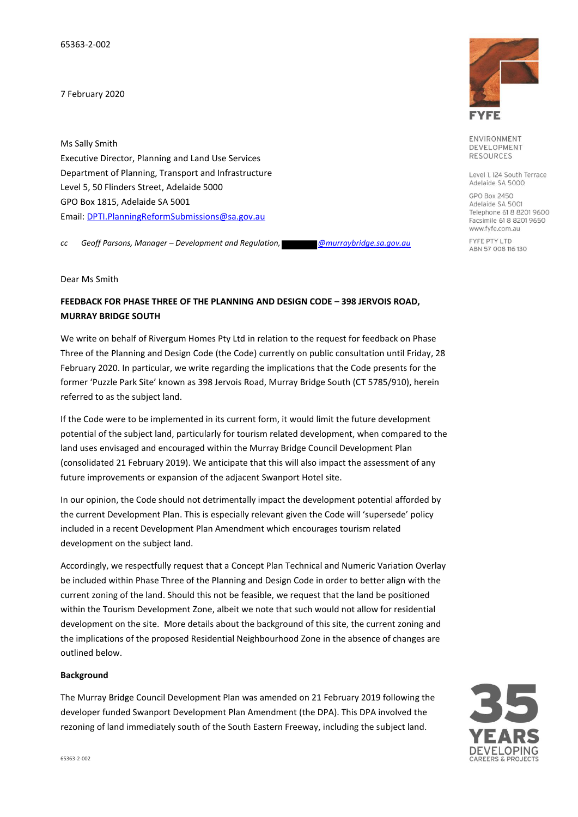65363-2-002

7 February 2020

Ms Sally Smith Executive Director, Planning and Land Use Services Department of Planning, Transport and Infrastructure Level 5, 50 Flinders Street, Adelaide 5000 GPO Box 1815, Adelaide SA 5001 Email[: DPTI.PlanningReformSubmissions@sa.gov.au](mailto:DPTI.PlanningReformSubmissions@sa.gov.au)

*cc Geoff Parsons, Manager – Development and Regulation, @murraybridge.sa.gov.au*

Dear Ms Smith

## **FEEDBACK FOR PHASE THREE OF THE PLANNING AND DESIGN CODE – 398 JERVOIS ROAD, MURRAY BRIDGE SOUTH**

We write on behalf of Rivergum Homes Pty Ltd in relation to the request for feedback on Phase Three of the Planning and Design Code (the Code) currently on public consultation until Friday, 28 February 2020. In particular, we write regarding the implications that the Code presents for the former 'Puzzle Park Site' known as 398 Jervois Road, Murray Bridge South (CT 5785/910), herein referred to as the subject land.

If the Code were to be implemented in its current form, it would limit the future development potential of the subject land, particularly for tourism related development, when compared to the land uses envisaged and encouraged within the Murray Bridge Council Development Plan (consolidated 21 February 2019). We anticipate that this will also impact the assessment of any future improvements or expansion of the adjacent Swanport Hotel site.

In our opinion, the Code should not detrimentally impact the development potential afforded by the current Development Plan. This is especially relevant given the Code will 'supersede' policy included in a recent Development Plan Amendment which encourages tourism related development on the subject land.

Accordingly, we respectfully request that a Concept Plan Technical and Numeric Variation Overlay be included within Phase Three of the Planning and Design Code in order to better align with the current zoning of the land. Should this not be feasible, we request that the land be positioned within the Tourism Development Zone, albeit we note that such would not allow for residential development on the site. More details about the background of this site, the current zoning and the implications of the proposed Residential Neighbourhood Zone in the absence of changes are outlined below.

#### **Background**

The Murray Bridge Council Development Plan was amended on 21 February 2019 following the developer funded Swanport Development Plan Amendment (the DPA). This DPA involved the rezoning of land immediately south of the South Eastern Freeway, including the subject land.



ENVIRONMENT DEVELOPMENT **RESOURCES** 

Level 1, 124 South Terrace Adelaide SA 5000

GPO Box 2450 Adelaide SA 5001 Telephone 61 8 8201 9600 Facsimile 61 8 8201 9650 www.fyfe.com.au

FYFE PTY LTD ABN 57 008 116 130

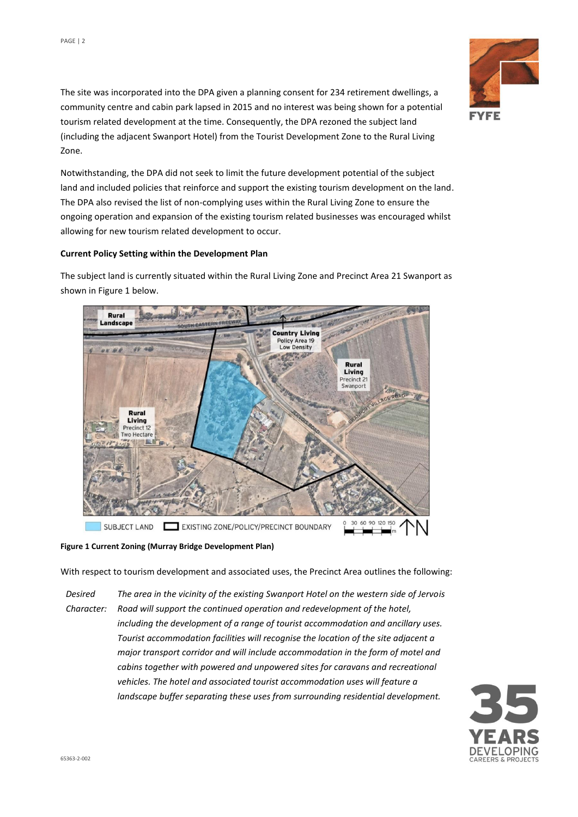

The site was incorporated into the DPA given a planning consent for 234 retirement dwellings, a community centre and cabin park lapsed in 2015 and no interest was being shown for a potential tourism related development at the time. Consequently, the DPA rezoned the subject land (including the adjacent Swanport Hotel) from the Tourist Development Zone to the Rural Living Zone.

Notwithstanding, the DPA did not seek to limit the future development potential of the subject land and included policies that reinforce and support the existing tourism development on the land. The DPA also revised the list of non-complying uses within the Rural Living Zone to ensure the ongoing operation and expansion of the existing tourism related businesses was encouraged whilst allowing for new tourism related development to occur.

#### **Current Policy Setting within the Development Plan**

The subject land is currently situated within the Rural Living Zone and Precinct Area 21 Swanport as shown in Figure 1 below.



**Figure 1 Current Zoning (Murray Bridge Development Plan)**

With respect to tourism development and associated uses, the Precinct Area outlines the following:

*Desired Character: The area in the vicinity of the existing Swanport Hotel on the western side of Jervois Road will support the continued operation and redevelopment of the hotel, including the development of a range of tourist accommodation and ancillary uses. Tourist accommodation facilities will recognise the location of the site adjacent a major transport corridor and will include accommodation in the form of motel and cabins together with powered and unpowered sites for caravans and recreational vehicles. The hotel and associated tourist accommodation uses will feature a landscape buffer separating these uses from surrounding residential development.*

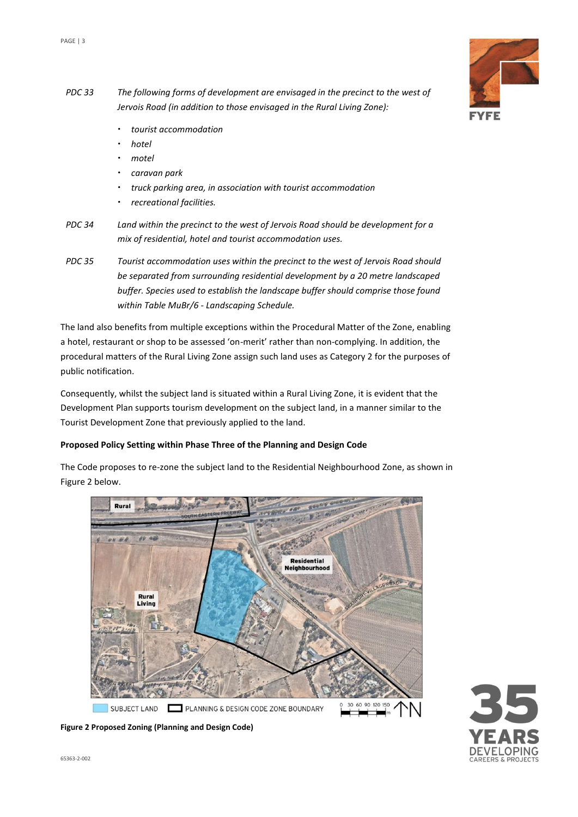

- *PDC 33 The following forms of development are envisaged in the precinct to the west of Jervois Road (in addition to those envisaged in the Rural Living Zone):* 
	- *tourist accommodation*
	- *hotel*
	- *motel*
	- *caravan park*
	- *truck parking area, in association with tourist accommodation*
	- *recreational facilities.*
- *PDC 34 Land within the precinct to the west of Jervois Road should be development for a mix of residential, hotel and tourist accommodation uses.*
- *PDC 35 Tourist accommodation uses within the precinct to the west of Jervois Road should be separated from surrounding residential development by a 20 metre landscaped buffer. Species used to establish the landscape buffer should comprise those found within Table MuBr/6 - Landscaping Schedule.*

The land also benefits from multiple exceptions within the Procedural Matter of the Zone, enabling a hotel, restaurant or shop to be assessed 'on-merit' rather than non-complying. In addition, the procedural matters of the Rural Living Zone assign such land uses as Category 2 for the purposes of public notification.

Consequently, whilst the subject land is situated within a Rural Living Zone, it is evident that the Development Plan supports tourism development on the subject land, in a manner similar to the Tourist Development Zone that previously applied to the land.

## **Proposed Policy Setting within Phase Three of the Planning and Design Code**

The Code proposes to re-zone the subject land to the Residential Neighbourhood Zone, as shown in Figure 2 below.



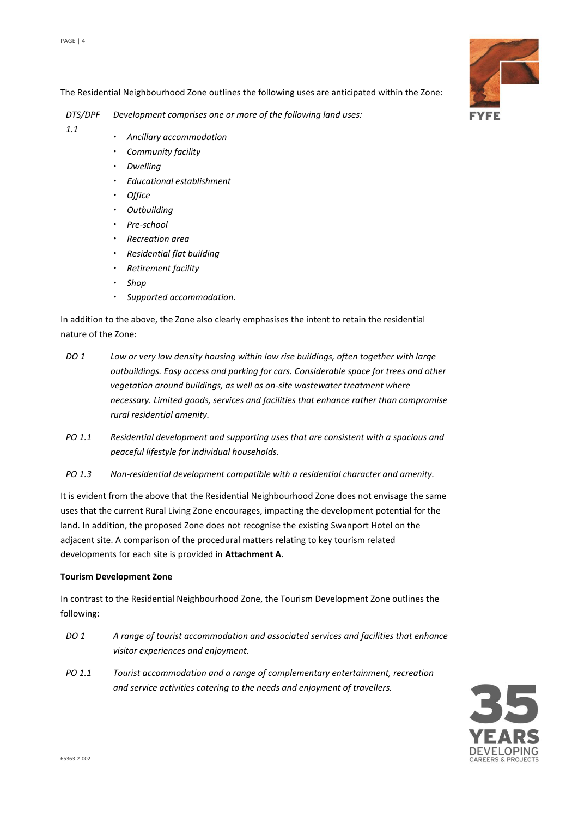*1.1*

The Residential Neighbourhood Zone outlines the following uses are anticipated within the Zone:

*DTS/DPF Development comprises one or more of the following land uses:* 

- *Ancillary accommodation*
	- *Community facility*
- *Dwelling*
- *Educational establishment*
- *Office*
- *Outbuilding*
- *Pre-school*
- *Recreation area*
- *Residential flat building*
- *Retirement facility*
- *Shop*
- *Supported accommodation.*

In addition to the above, the Zone also clearly emphasises the intent to retain the residential nature of the Zone:

- *DO 1 Low or very low density housing within low rise buildings, often together with large outbuildings. Easy access and parking for cars. Considerable space for trees and other vegetation around buildings, as well as on-site wastewater treatment where necessary. Limited goods, services and facilities that enhance rather than compromise rural residential amenity.*
- *PO 1.1 Residential development and supporting uses that are consistent with a spacious and peaceful lifestyle for individual households.*
- *PO 1.3 Non-residential development compatible with a residential character and amenity.*

It is evident from the above that the Residential Neighbourhood Zone does not envisage the same uses that the current Rural Living Zone encourages, impacting the development potential for the land. In addition, the proposed Zone does not recognise the existing Swanport Hotel on the adjacent site. A comparison of the procedural matters relating to key tourism related developments for each site is provided in **Attachment A**.

#### **Tourism Development Zone**

In contrast to the Residential Neighbourhood Zone, the Tourism Development Zone outlines the following:

- *DO 1 A range of tourist accommodation and associated services and facilities that enhance visitor experiences and enjoyment.*
- *PO 1.1 Tourist accommodation and a range of complementary entertainment, recreation and service activities catering to the needs and enjoyment of travellers.*



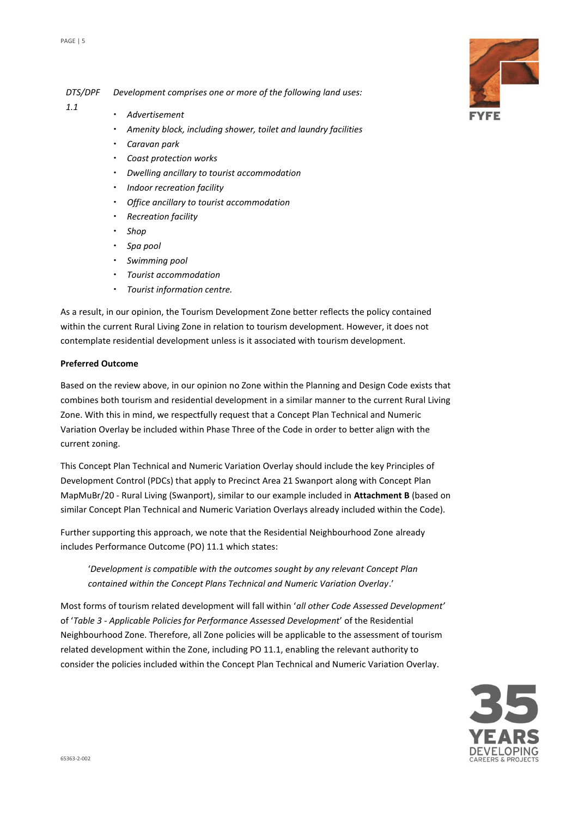*DTS/DPF Development comprises one or more of the following land uses:* 

- *1.1 Advertisement* 
	- *Amenity block, including shower, toilet and laundry facilities*
	- *Caravan park*
	- *Coast protection works*
	- *Dwelling ancillary to tourist accommodation*
	- *Indoor recreation facility*
	- *Office ancillary to tourist accommodation*
	- *Recreation facility*
	- *Shop*
	- *Spa pool*
	- *Swimming pool*
	- *Tourist accommodation*
	- *Tourist information centre.*

As a result, in our opinion, the Tourism Development Zone better reflects the policy contained within the current Rural Living Zone in relation to tourism development. However, it does not contemplate residential development unless is it associated with tourism development.

#### **Preferred Outcome**

Based on the review above, in our opinion no Zone within the Planning and Design Code exists that combines both tourism and residential development in a similar manner to the current Rural Living Zone. With this in mind, we respectfully request that a Concept Plan Technical and Numeric Variation Overlay be included within Phase Three of the Code in order to better align with the current zoning.

This Concept Plan Technical and Numeric Variation Overlay should include the key Principles of Development Control (PDCs) that apply to Precinct Area 21 Swanport along with Concept Plan MapMuBr/20 - Rural Living (Swanport), similar to our example included in **Attachment B** (based on similar Concept Plan Technical and Numeric Variation Overlays already included within the Code).

Further supporting this approach, we note that the Residential Neighbourhood Zone already includes Performance Outcome (PO) 11.1 which states:

'*Development is compatible with the outcomes sought by any relevant Concept Plan contained within the Concept Plans Technical and Numeric Variation Overlay*.'

Most forms of tourism related development will fall within '*all other Code Assessed Development'* of '*Table 3 - Applicable Policies for Performance Assessed Development*' of the Residential Neighbourhood Zone. Therefore, all Zone policies will be applicable to the assessment of tourism related development within the Zone, including PO 11.1, enabling the relevant authority to consider the policies included within the Concept Plan Technical and Numeric Variation Overlay.



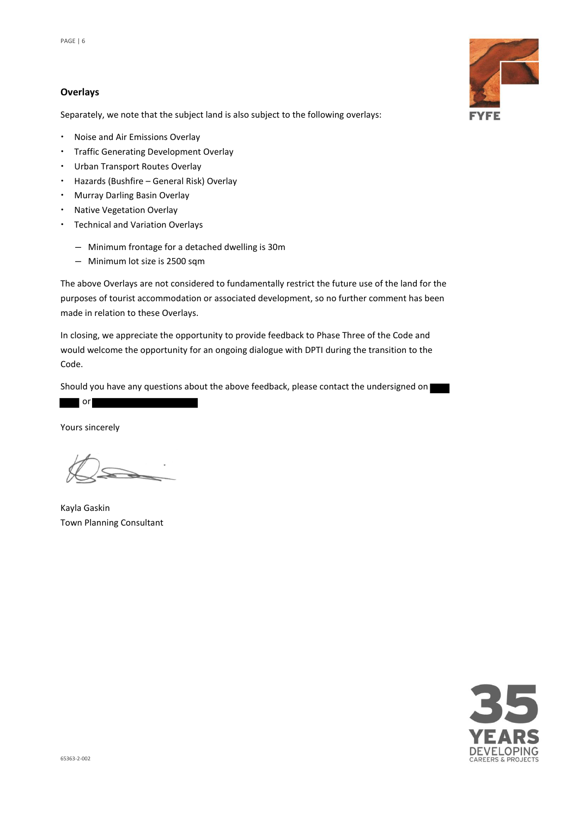#### **Overlays**

Separately, we note that the subject land is also subject to the following overlays:

- Noise and Air Emissions Overlay
- Traffic Generating Development Overlay
- Urban Transport Routes Overlay
- Hazards (Bushfire General Risk) Overlay
- Murray Darling Basin Overlay
- Native Vegetation Overlay
- Technical and Variation Overlays
	- ― Minimum frontage for a detached dwelling is 30m
	- ― Minimum lot size is 2500 sqm

The above Overlays are not considered to fundamentally restrict the future use of the land for the purposes of tourist accommodation or associated development, so no further comment has been made in relation to these Overlays.

In closing, we appreciate the opportunity to provide feedback to Phase Three of the Code and would welcome the opportunity for an ongoing dialogue with DPTI during the transition to the Code.

Should you have any questions about the above feedback, please contact the undersigned on

or

Yours sincerely

Kayla Gaskin Town Planning Consultant



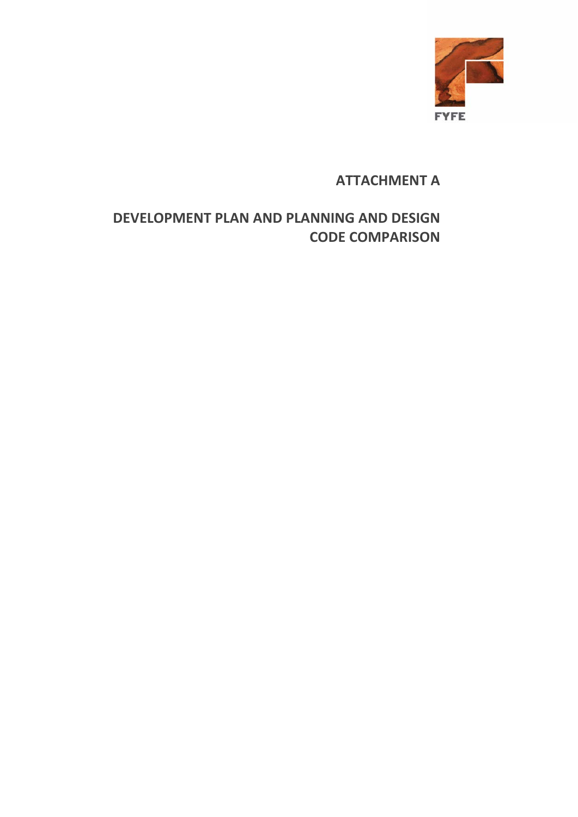

## **ATTACHMENT A**

## **DEVELOPMENT PLAN AND PLANNING AND DESIGN CODE COMPARISON**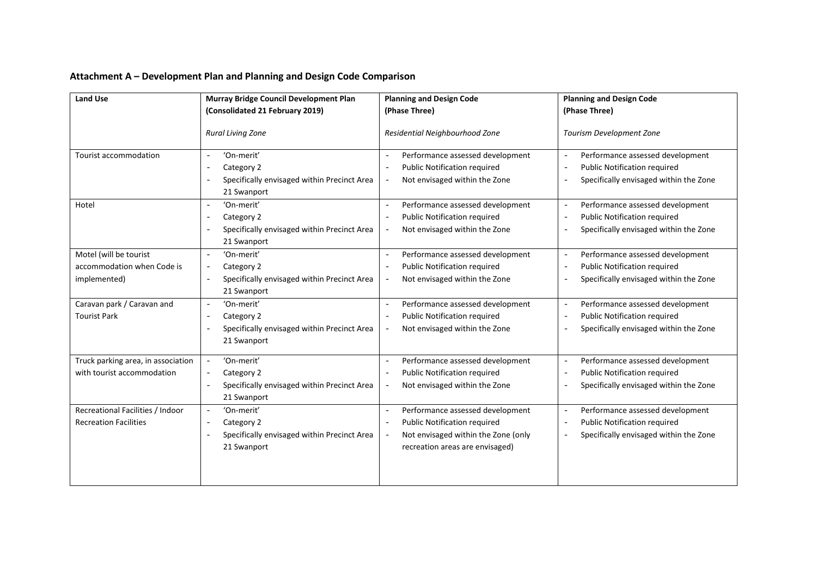| Attachment A - Development Plan and Planning and Design Code Comparison |  |
|-------------------------------------------------------------------------|--|
|-------------------------------------------------------------------------|--|

| <b>Land Use</b>                                                      | Murray Bridge Council Development Plan                                                                                                         | <b>Planning and Design Code</b>                                                                                                                                                                           | <b>Planning and Design Code</b>                                                                                                                                                                       |
|----------------------------------------------------------------------|------------------------------------------------------------------------------------------------------------------------------------------------|-----------------------------------------------------------------------------------------------------------------------------------------------------------------------------------------------------------|-------------------------------------------------------------------------------------------------------------------------------------------------------------------------------------------------------|
|                                                                      | (Consolidated 21 February 2019)                                                                                                                | (Phase Three)                                                                                                                                                                                             | (Phase Three)                                                                                                                                                                                         |
|                                                                      | <b>Rural Living Zone</b>                                                                                                                       | Residential Neighbourhood Zone                                                                                                                                                                            | Tourism Development Zone                                                                                                                                                                              |
| Tourist accommodation                                                | 'On-merit'<br>$\overline{\phantom{a}}$<br>Category 2<br>$\overline{\phantom{a}}$<br>Specifically envisaged within Precinct Area<br>21 Swanport | Performance assessed development<br>$\overline{\phantom{a}}$<br><b>Public Notification required</b><br>$\overline{\phantom{a}}$<br>Not envisaged within the Zone<br>$\overline{\phantom{a}}$              | Performance assessed development<br>$\overline{\phantom{0}}$<br><b>Public Notification required</b><br>$\overline{a}$<br>Specifically envisaged within the Zone<br>$\overline{\phantom{a}}$           |
| Hotel                                                                | 'On-merit'<br>$\overline{\phantom{a}}$<br>Category 2<br>٠<br>Specifically envisaged within Precinct Area<br>$\sim$<br>21 Swanport              | Performance assessed development<br>$\overline{\phantom{a}}$<br><b>Public Notification required</b><br>$\overline{a}$<br>Not envisaged within the Zone<br>$\overline{\phantom{a}}$                        | Performance assessed development<br>$\overline{\phantom{a}}$<br>Public Notification required<br>$\overline{\phantom{a}}$<br>Specifically envisaged within the Zone<br>$\overline{\phantom{a}}$        |
| Motel (will be tourist<br>accommodation when Code is<br>implemented) | 'On-merit'<br>$\overline{\phantom{a}}$<br>Category 2<br>$\sim$<br>Specifically envisaged within Precinct Area<br>21 Swanport                   | Performance assessed development<br>$\overline{\phantom{a}}$<br>Public Notification required<br>$\overline{\phantom{a}}$<br>Not envisaged within the Zone                                                 | Performance assessed development<br>$\overline{\phantom{a}}$<br><b>Public Notification required</b><br>$\overline{a}$<br>Specifically envisaged within the Zone<br>$\overline{\phantom{a}}$           |
| Caravan park / Caravan and<br><b>Tourist Park</b>                    | 'On-merit'<br>$\overline{\phantom{a}}$<br>Category 2<br>Specifically envisaged within Precinct Area<br>÷,<br>21 Swanport                       | Performance assessed development<br>$\overline{\phantom{a}}$<br><b>Public Notification required</b><br>$\overline{\phantom{a}}$<br>Not envisaged within the Zone<br>$\overline{\phantom{a}}$              | Performance assessed development<br>$\overline{\phantom{a}}$<br><b>Public Notification required</b><br>$\overline{\phantom{a}}$<br>Specifically envisaged within the Zone<br>$\overline{\phantom{a}}$ |
| Truck parking area, in association<br>with tourist accommodation     | 'On-merit'<br>Category 2<br>$\overline{\phantom{0}}$<br>Specifically envisaged within Precinct Area<br>÷,<br>21 Swanport                       | Performance assessed development<br>$\overline{a}$<br><b>Public Notification required</b><br>$\overline{\phantom{a}}$<br>Not envisaged within the Zone                                                    | Performance assessed development<br>$\overline{\phantom{0}}$<br><b>Public Notification required</b><br>$\overline{a}$<br>Specifically envisaged within the Zone<br>$\qquad \qquad -$                  |
| Recreational Facilities / Indoor<br><b>Recreation Facilities</b>     | 'On-merit'<br>$\equiv$<br>Category 2<br>Specifically envisaged within Precinct Area<br>$\overline{a}$<br>21 Swanport                           | Performance assessed development<br>$\overline{\phantom{a}}$<br><b>Public Notification required</b><br>$\overline{\phantom{a}}$<br>Not envisaged within the Zone (only<br>recreation areas are envisaged) | Performance assessed development<br>$\overline{\phantom{0}}$<br><b>Public Notification required</b><br>$\overline{\phantom{a}}$<br>Specifically envisaged within the Zone<br>$\overline{a}$           |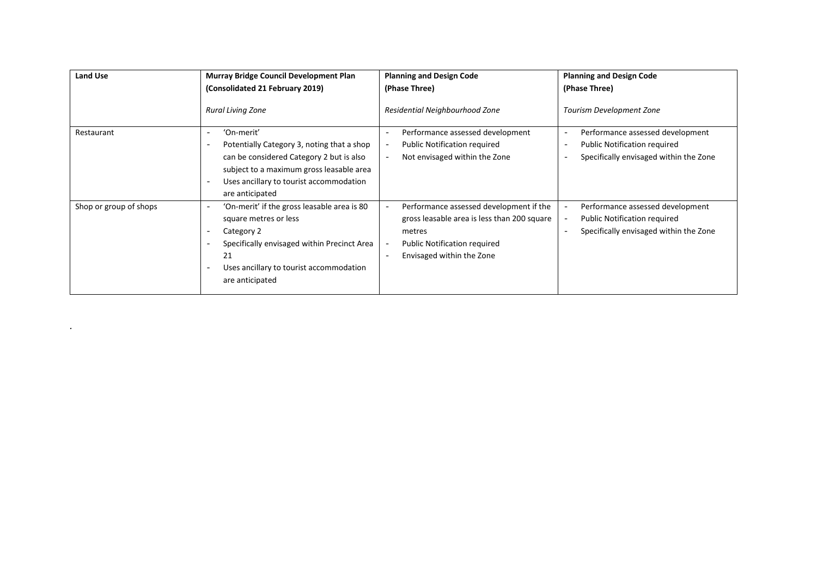| <b>Land Use</b>        | <b>Murray Bridge Council Development Plan</b><br>(Consolidated 21 February 2019)                                                                                                                                                                                                                                      | <b>Planning and Design Code</b><br>(Phase Three)                                                                                                                                                                             | <b>Planning and Design Code</b><br>(Phase Three)                                                                                                                                                      |
|------------------------|-----------------------------------------------------------------------------------------------------------------------------------------------------------------------------------------------------------------------------------------------------------------------------------------------------------------------|------------------------------------------------------------------------------------------------------------------------------------------------------------------------------------------------------------------------------|-------------------------------------------------------------------------------------------------------------------------------------------------------------------------------------------------------|
|                        | <b>Rural Living Zone</b>                                                                                                                                                                                                                                                                                              | Residential Neighbourhood Zone                                                                                                                                                                                               | Tourism Development Zone                                                                                                                                                                              |
| Restaurant             | 'On-merit'<br>$\overline{\phantom{0}}$<br>Potentially Category 3, noting that a shop<br>$\overline{\phantom{0}}$<br>can be considered Category 2 but is also<br>subject to a maximum gross leasable area<br>Uses ancillary to tourist accommodation<br>$\overline{\phantom{0}}$<br>are anticipated                    | Performance assessed development<br>$\overline{\phantom{m}}$<br><b>Public Notification required</b><br>$\overline{\phantom{m}}$<br>Not envisaged within the Zone<br>$\overline{\phantom{a}}$                                 | Performance assessed development<br>$\overline{\phantom{m}}$<br><b>Public Notification required</b><br>$\overline{\phantom{m}}$<br>Specifically envisaged within the Zone<br>$\overline{\phantom{a}}$ |
| Shop or group of shops | 'On-merit' if the gross leasable area is 80<br>$\overline{\phantom{0}}$<br>square metres or less<br>Category 2<br>$\overline{\phantom{0}}$<br>Specifically envisaged within Precinct Area<br>$\overline{\phantom{0}}$<br>21<br>Uses ancillary to tourist accommodation<br>$\overline{\phantom{0}}$<br>are anticipated | Performance assessed development if the<br>$\overline{\phantom{a}}$<br>gross leasable area is less than 200 square<br>metres<br><b>Public Notification required</b><br>Envisaged within the Zone<br>$\overline{\phantom{a}}$ | Performance assessed development<br>$\overline{\phantom{a}}$<br><b>Public Notification required</b><br>$\overline{\phantom{m}}$<br>Specifically envisaged within the Zone<br>$\overline{\phantom{0}}$ |

*.*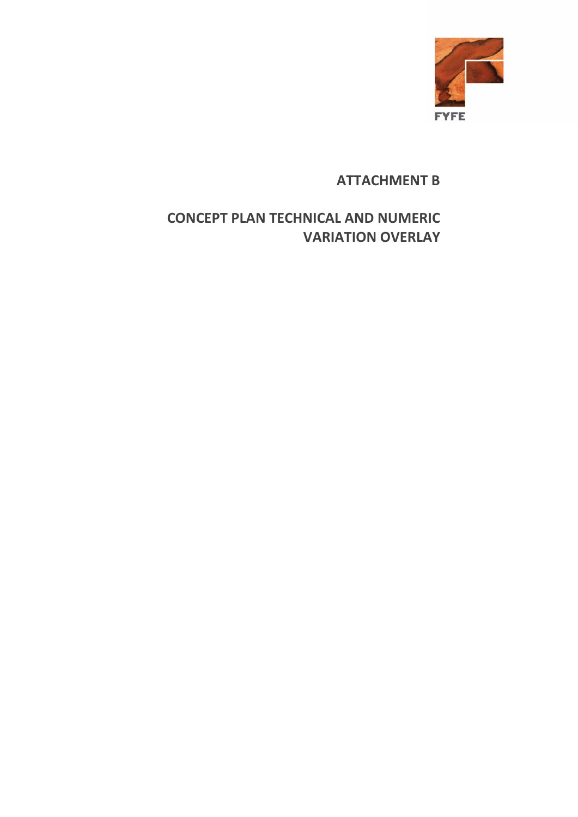

## **ATTACHMENT B**

# **CONCEPT PLAN TECHNICAL AND NUMERIC VARIATION OVERLAY**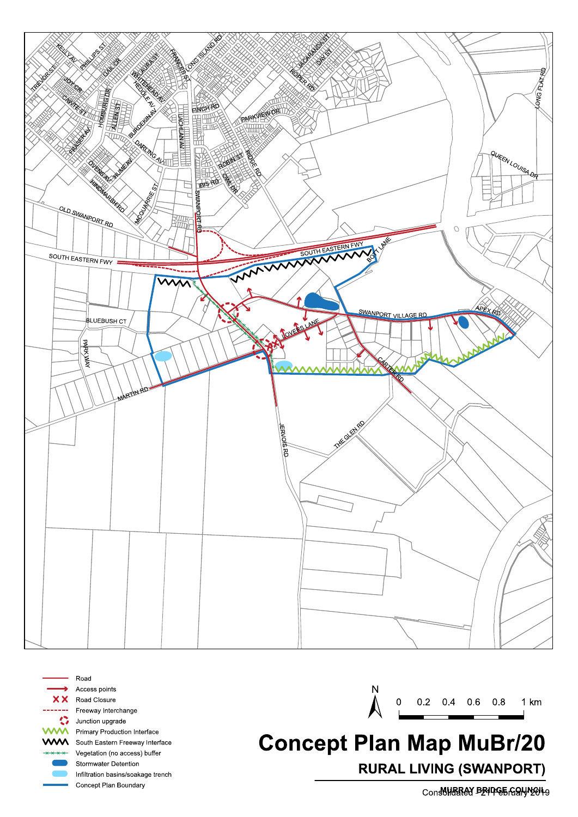



Road Access points Road Closure Freeway Interchange Junction upgrade W Primary Production Interface **AVA** South Eastern Freeway Interface Vegetation (no access) buffer Stormwater Detention Infiltration basins/soakage trench Concept Plan Boundary

 $\boldsymbol{0}$ 0.2 0.4 0.6 0.8  $1 km$ 

# **Concept Plan Map MuBr/20 RURAL LIVING (SWANPORT)**

Consultated BENDEE GONNEN to